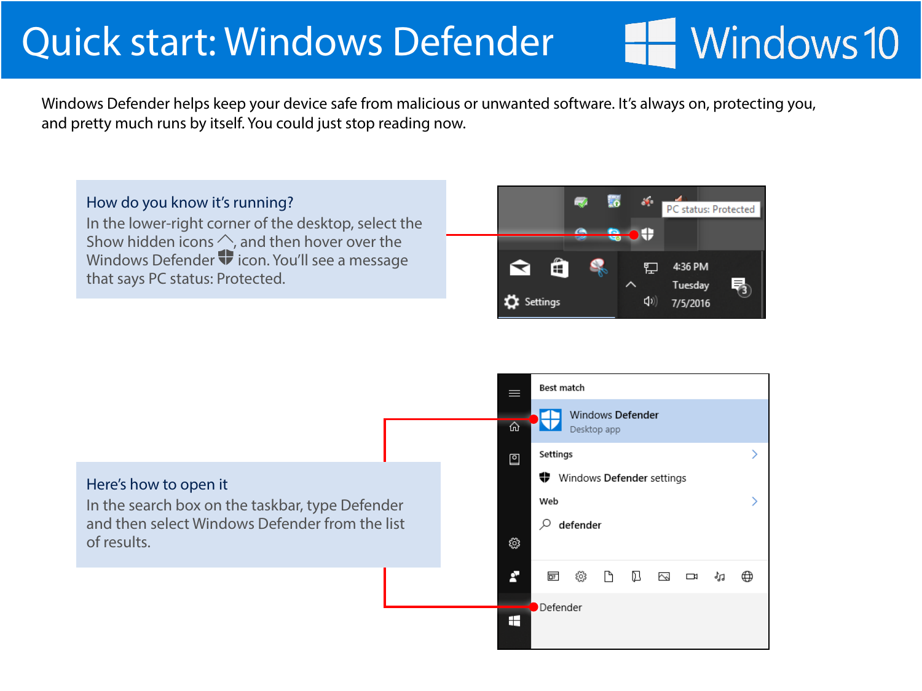## Windows 10

 $\rightarrow$ 

Э

Windows Defender helps keep your device safe from malicious or unwanted software. It's always on, protecting you, and pretty much runs by itself. You could just stop reading now.

How do you know it's running? In the lower-right corner of the desktop, select the Show hidden icons  $\Diamond$ , and then hover over the Windows Defender  $\blacktriangledown$  icon. You'll see a message that says PC status: Protected.



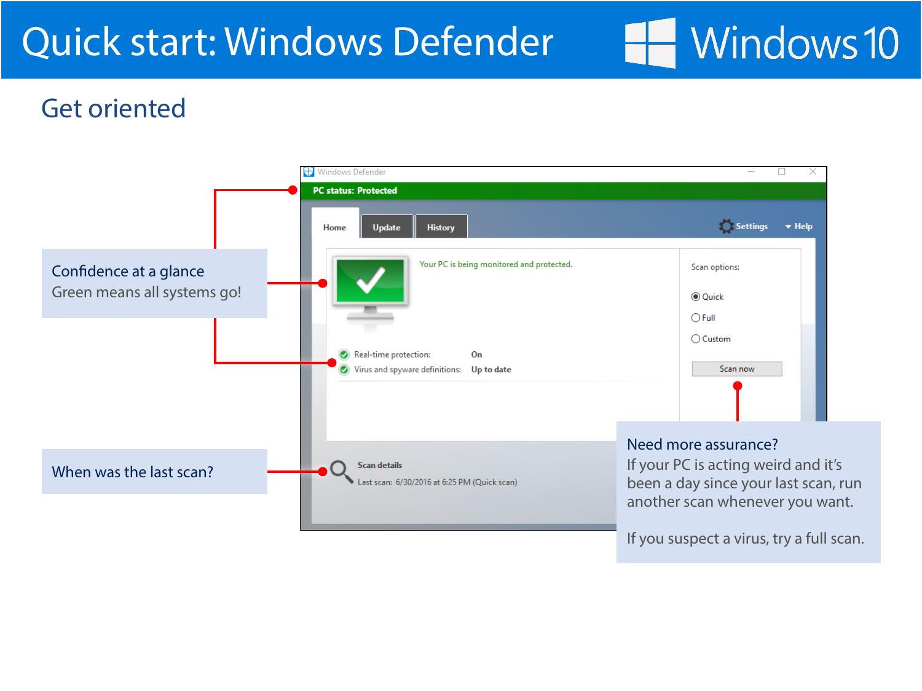# Windows 10

#### Get oriented

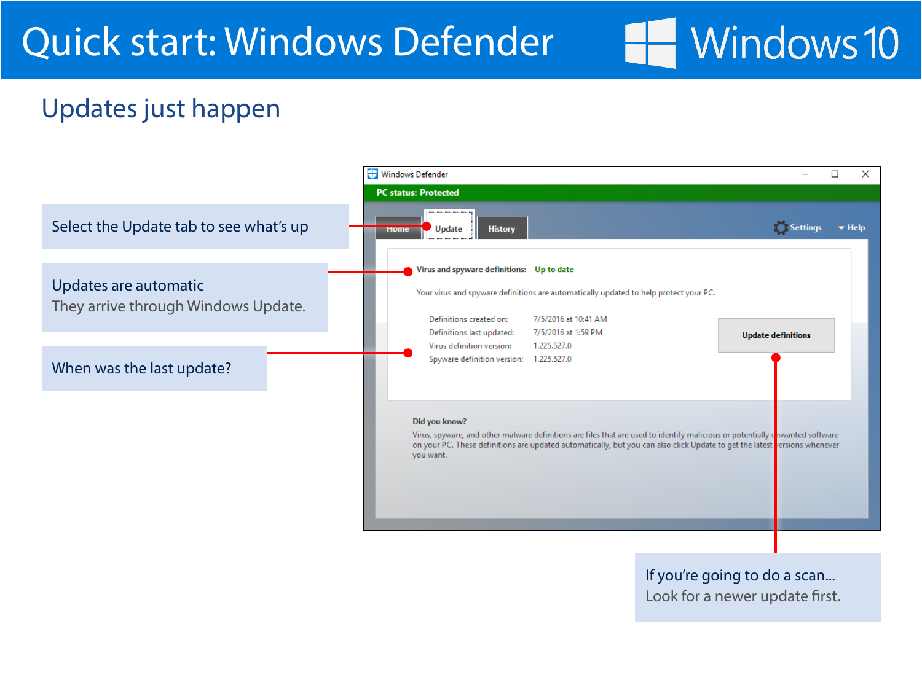## Windows 10

### Updates just happen



If you're going to do a scan... Look for a newer update first.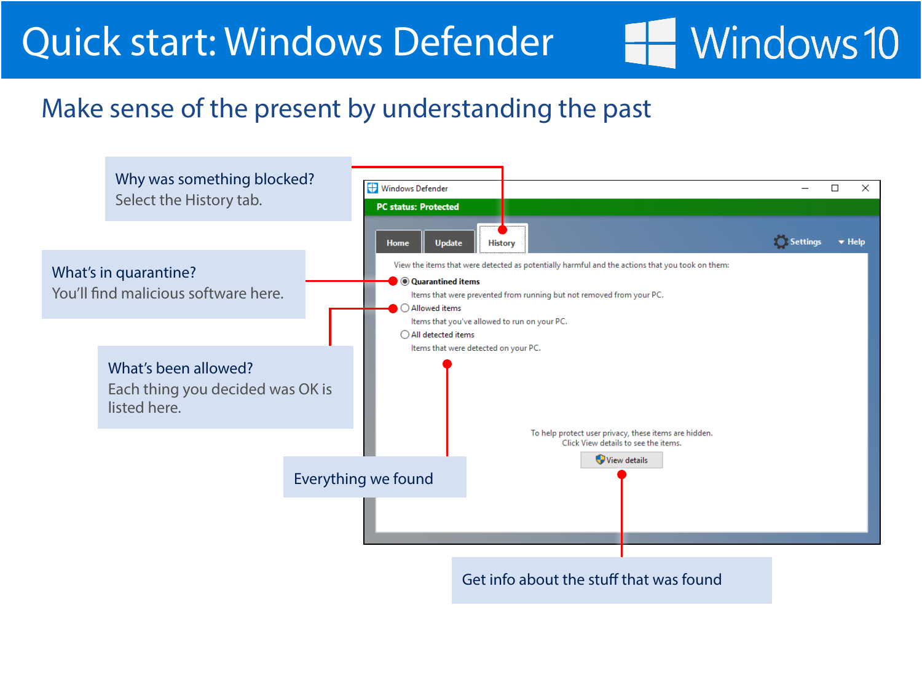## **Windows 10**

#### Make sense of the present by understanding the past

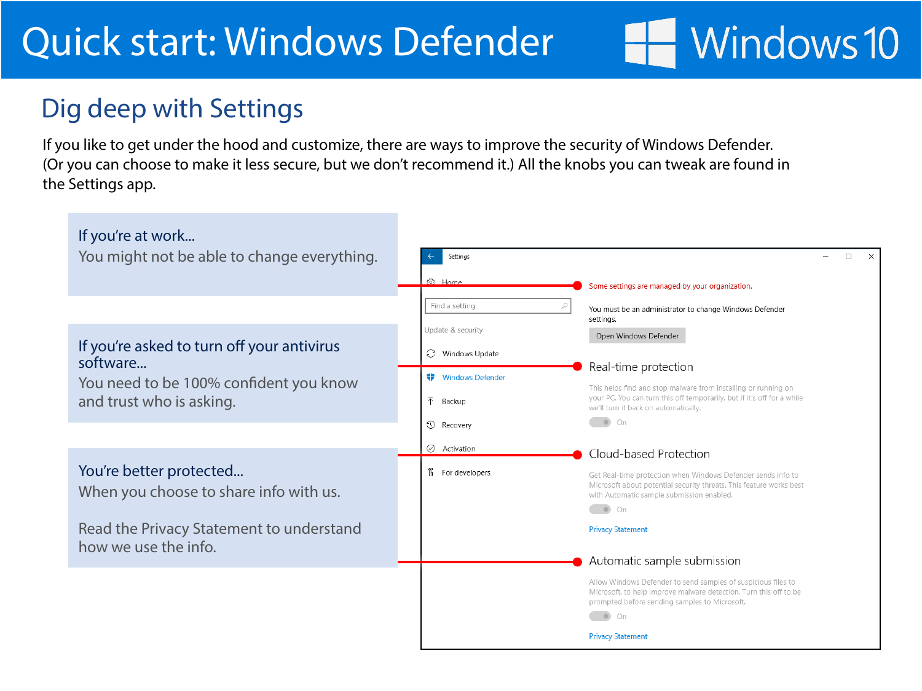#### Dig deep with Settings

If you like to get under the hood and customize, there are ways to improve the security of Windows Defender. (Or you can choose to make it less secure, but we don't recommend it.) All the knobs you can tweak are found in the Settings app.

Windows 10

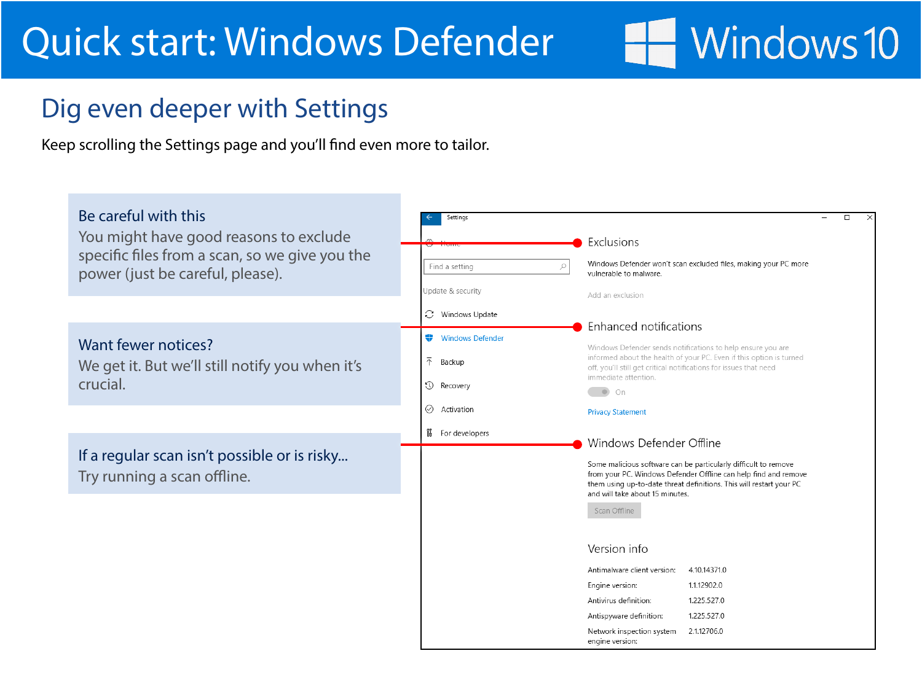## Windows 10

#### Dig even deeper with Settings

Keep scrolling the Settings page and you'll find even more to tailor.